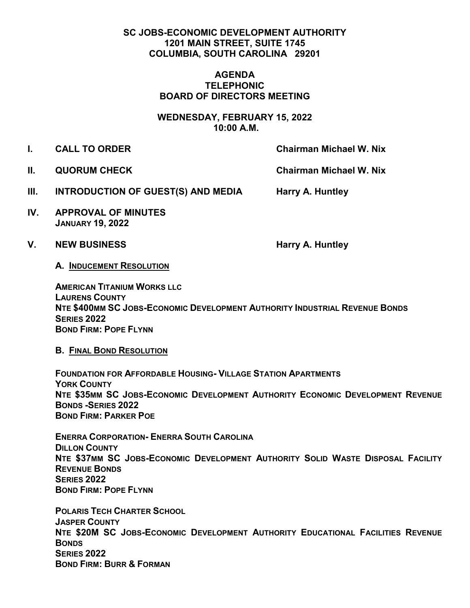## **SC JOBS-ECONOMIC DEVELOPMENT AUTHORITY 1201 MAIN STREET, SUITE 1745 COLUMBIA, SOUTH CAROLINA 29201**

## **AGENDA TELEPHONIC BOARD OF DIRECTORS MEETING**

**WEDNESDAY, FEBRUARY 15, 2022 10:00 A.M.**

- **I. CALL TO ORDER Chairman Michael W. Nix** 
	-

**II. QUORUM CHECK Chairman Michael W. Nix** 

- **III. INTRODUCTION OF GUEST(S) AND MEDIA Harry A. Huntley**
- **IV. APPROVAL OF MINUTES JANUARY 19, 2022**
- V. NEW BUSINESS **Harry A. Huntley**

**A. INDUCEMENT RESOLUTION** 

**AMERICAN TITANIUM WORKS LLC LAURENS COUNTY NTE \$400MM SC JOBS-ECONOMIC DEVELOPMENT AUTHORITY INDUSTRIAL REVENUE BONDS SERIES 2022 BOND FIRM: POPE FLYNN**

**B. FINAL BOND RESOLUTION** 

**FOUNDATION FOR AFFORDABLE HOUSING- VILLAGE STATION APARTMENTS YORK COUNTY NTE \$35MM SC JOBS-ECONOMIC DEVELOPMENT AUTHORITY ECONOMIC DEVELOPMENT REVENUE BONDS -SERIES 2022 BOND FIRM: PARKER POE**

**ENERRA CORPORATION- ENERRA SOUTH CAROLINA DILLON COUNTY NTE \$37MM SC JOBS-ECONOMIC DEVELOPMENT AUTHORITY SOLID WASTE DISPOSAL FACILITY REVENUE BONDS SERIES 2022 BOND FIRM: POPE FLYNN**

**POLARIS TECH CHARTER SCHOOL JASPER COUNTY NTE \$20M SC JOBS-ECONOMIC DEVELOPMENT AUTHORITY EDUCATIONAL FACILITIES REVENUE BONDS SERIES 2022 BOND FIRM: BURR & FORMAN**